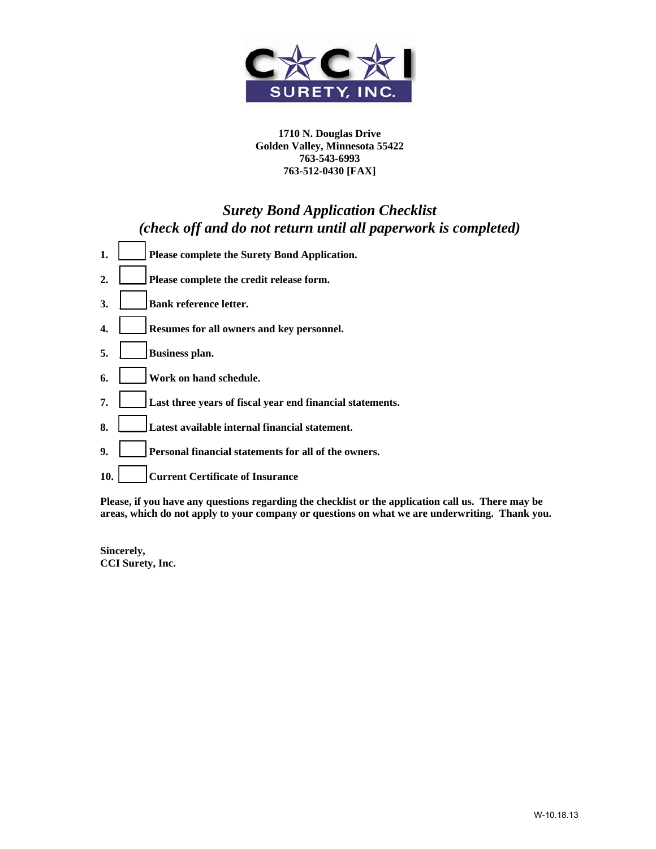

# *Surety Bond Application Checklist (check off and do not return until all paperwork is completed)*

- **1. \_\_\_\_\_ Please complete the Surety Bond Application. 2. \_\_\_\_\_ Please complete the credit release form. 3. \_\_\_\_\_ Bank reference letter. 4. \_\_\_\_\_ Resumes for all owners and key personnel. 5. \_\_\_\_\_ Business plan. 6. \_\_\_\_\_ Work on hand schedule. 7. \_\_\_\_\_ Last three years of fiscal year end financial statements. 8. \_\_\_\_\_ Latest available internal financial statement.**
- **9. \_\_\_\_\_ Personal financial statements for all of the owners.**
- **10. \_\_\_\_\_ Current Certificate of Insurance**

**Please, if you have any questions regarding the checklist or the application call us. There may be areas, which do not apply to your company or questions on what we are underwriting. Thank you.** 

**Sincerely, CCI Surety, Inc.**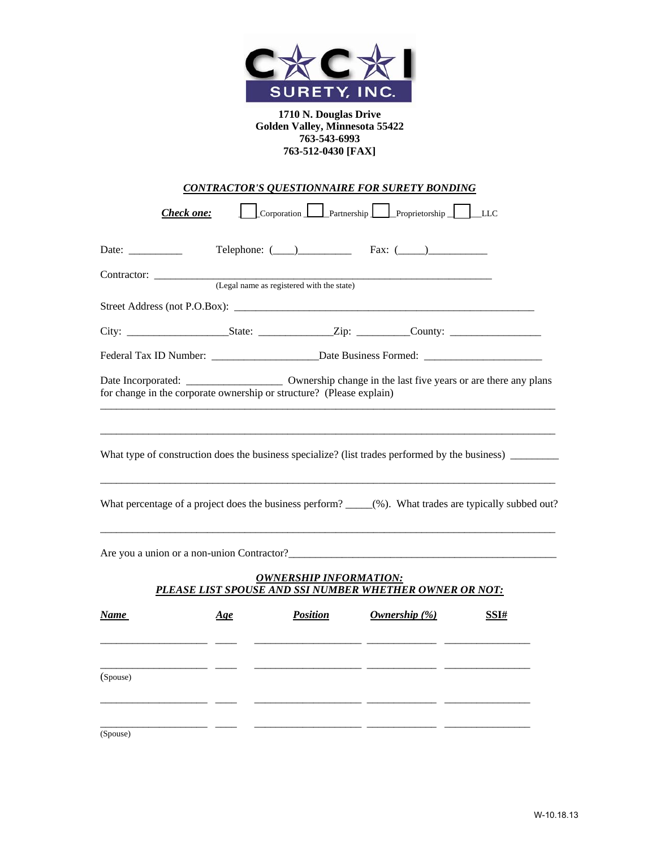

| CONTRACTOR'S QUESTIONNAIRE FOR SURETY BONDING |
|-----------------------------------------------|
|-----------------------------------------------|

*Check one:* <u>Lorporation Partnership Proprietorship LLC</u>

| Date: $\frac{1}{\sqrt{1-\frac{1}{2}} \cdot \frac{1}{2}}$                                             |                                           |                               | Telephone: $(\_\_)$ Fax: $(\_\_)$                                  |                                                                                                                      |
|------------------------------------------------------------------------------------------------------|-------------------------------------------|-------------------------------|--------------------------------------------------------------------|----------------------------------------------------------------------------------------------------------------------|
|                                                                                                      | (Legal name as registered with the state) |                               |                                                                    |                                                                                                                      |
|                                                                                                      |                                           |                               |                                                                    |                                                                                                                      |
|                                                                                                      |                                           |                               |                                                                    |                                                                                                                      |
| Federal Tax ID Number: _________________________Date Business Formed: ______________________________ |                                           |                               |                                                                    |                                                                                                                      |
| for change in the corporate ownership or structure? (Please explain)                                 |                                           |                               |                                                                    |                                                                                                                      |
|                                                                                                      |                                           |                               |                                                                    | What type of construction does the business specialize? (list trades performed by the business)                      |
|                                                                                                      |                                           |                               |                                                                    | What percentage of a project does the business perform? _____(%). What trades are typically subbed out?              |
|                                                                                                      |                                           |                               |                                                                    |                                                                                                                      |
|                                                                                                      |                                           | <b>OWNERSHIP INFORMATION:</b> | PLEASE LIST SPOUSE AND SSI NUMBER WHETHER OWNER OR NOT:            |                                                                                                                      |
| Name                                                                                                 | Age                                       | <b>Position</b>               | Ownership $(\%)$<br><u> 1999 - Jan James James James (J. 1989)</u> | SSI#                                                                                                                 |
| (Spouse)                                                                                             |                                           |                               |                                                                    | <u> 1999 - Jan James James, mars ann an 1990 - 1990 - 1990 - 1990 - 1990 - 1990 - 1990 - 1990 - 1990 - 1990 - 19</u> |
|                                                                                                      |                                           |                               |                                                                    |                                                                                                                      |

(Spouse)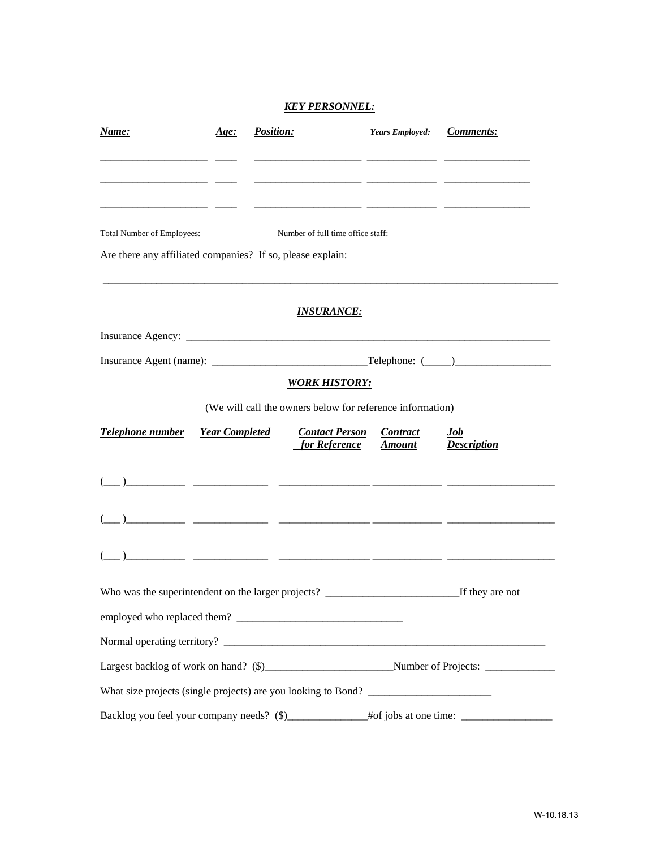#### *KEY PERSONNEL:*

| Name:                                                         | Age:                  | <b>Position:</b> |                                                           | <b>Years Employed:</b>           | <b>Comments:</b>          |
|---------------------------------------------------------------|-----------------------|------------------|-----------------------------------------------------------|----------------------------------|---------------------------|
|                                                               |                       |                  |                                                           |                                  |                           |
|                                                               |                       |                  |                                                           |                                  |                           |
|                                                               |                       |                  |                                                           |                                  |                           |
| Are there any affiliated companies? If so, please explain:    |                       |                  |                                                           |                                  |                           |
|                                                               |                       |                  | <u>INSURANCE:</u>                                         |                                  |                           |
|                                                               |                       |                  |                                                           |                                  |                           |
|                                                               |                       |                  |                                                           |                                  |                           |
|                                                               |                       |                  | <b>WORK HISTORY:</b>                                      |                                  |                           |
|                                                               |                       |                  | (We will call the owners below for reference information) |                                  |                           |
| Telephone number                                              | <b>Year Completed</b> |                  | <b>Contact Person</b><br>for Reference                    | <b>Contract</b><br><b>Amount</b> | Job<br><b>Description</b> |
|                                                               |                       |                  |                                                           |                                  |                           |
|                                                               |                       |                  |                                                           |                                  |                           |
|                                                               |                       |                  |                                                           |                                  |                           |
|                                                               |                       |                  |                                                           |                                  |                           |
|                                                               |                       |                  |                                                           |                                  |                           |
|                                                               |                       |                  |                                                           |                                  |                           |
|                                                               |                       |                  |                                                           |                                  |                           |
| What size projects (single projects) are you looking to Bond? |                       |                  |                                                           |                                  |                           |
|                                                               |                       |                  |                                                           |                                  |                           |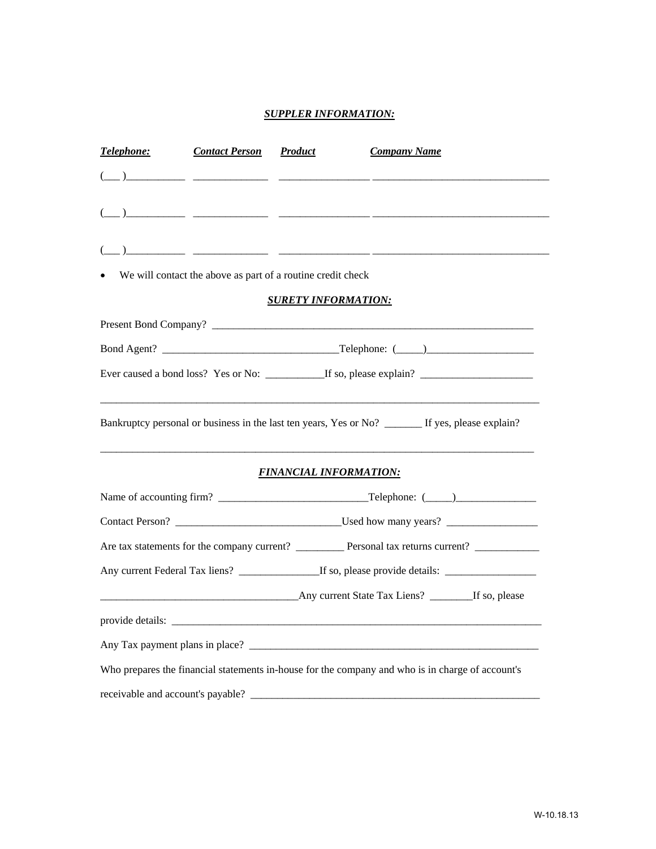### *SUPPLER INFORMATION:*

| Telephone: | <b>Contact Person</b> | <b>Product</b>                                              | <b>Company Name</b>                                                                               |
|------------|-----------------------|-------------------------------------------------------------|---------------------------------------------------------------------------------------------------|
|            |                       |                                                             |                                                                                                   |
|            |                       |                                                             |                                                                                                   |
|            |                       |                                                             |                                                                                                   |
|            |                       | We will contact the above as part of a routine credit check |                                                                                                   |
|            |                       | <b>SURETY INFORMATION:</b>                                  |                                                                                                   |
|            |                       |                                                             |                                                                                                   |
|            |                       |                                                             |                                                                                                   |
|            |                       |                                                             |                                                                                                   |
|            |                       |                                                             |                                                                                                   |
|            |                       |                                                             | Bankruptcy personal or business in the last ten years, Yes or No? _______ If yes, please explain? |
|            |                       | <b>FINANCIAL INFORMATION:</b>                               |                                                                                                   |
|            |                       |                                                             |                                                                                                   |
|            |                       |                                                             |                                                                                                   |
|            |                       |                                                             |                                                                                                   |
|            |                       |                                                             |                                                                                                   |
|            |                       |                                                             |                                                                                                   |
|            |                       | provide details:                                            |                                                                                                   |
|            |                       |                                                             | Any Tax payment plans in place?                                                                   |
|            |                       |                                                             | Who prepares the financial statements in-house for the company and who is in charge of account's  |
|            |                       |                                                             |                                                                                                   |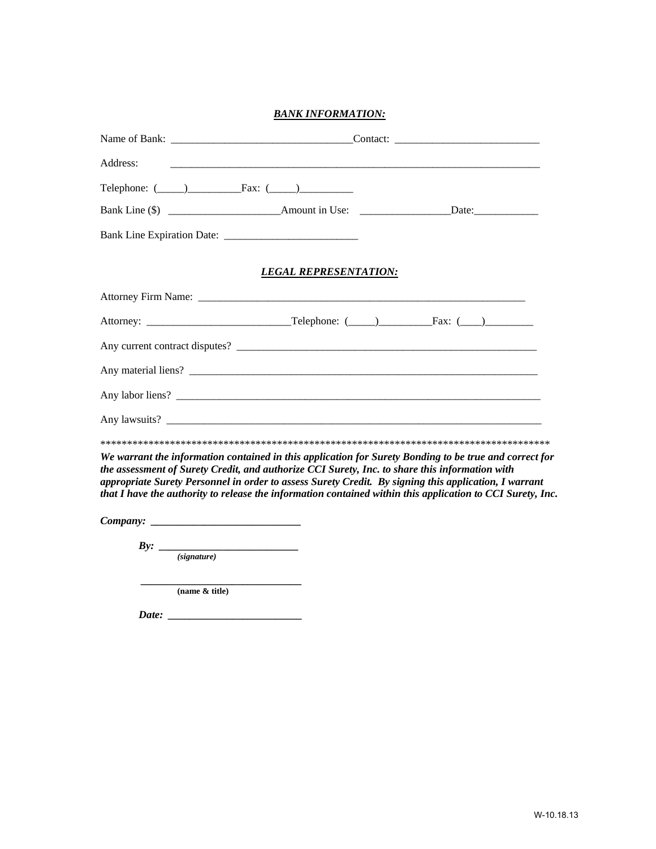#### *BANK INFORMATION:*

| Address:                                                                                                                                                                                                                                                                                                                                                                                                                        |                              |  |  |  |  |  |  |
|---------------------------------------------------------------------------------------------------------------------------------------------------------------------------------------------------------------------------------------------------------------------------------------------------------------------------------------------------------------------------------------------------------------------------------|------------------------------|--|--|--|--|--|--|
| Telephone: $(\_\_)$ Fax: $(\_\_)$                                                                                                                                                                                                                                                                                                                                                                                               |                              |  |  |  |  |  |  |
|                                                                                                                                                                                                                                                                                                                                                                                                                                 |                              |  |  |  |  |  |  |
|                                                                                                                                                                                                                                                                                                                                                                                                                                 |                              |  |  |  |  |  |  |
|                                                                                                                                                                                                                                                                                                                                                                                                                                 | <b>LEGAL REPRESENTATION:</b> |  |  |  |  |  |  |
|                                                                                                                                                                                                                                                                                                                                                                                                                                 |                              |  |  |  |  |  |  |
|                                                                                                                                                                                                                                                                                                                                                                                                                                 |                              |  |  |  |  |  |  |
|                                                                                                                                                                                                                                                                                                                                                                                                                                 |                              |  |  |  |  |  |  |
|                                                                                                                                                                                                                                                                                                                                                                                                                                 |                              |  |  |  |  |  |  |
|                                                                                                                                                                                                                                                                                                                                                                                                                                 |                              |  |  |  |  |  |  |
|                                                                                                                                                                                                                                                                                                                                                                                                                                 |                              |  |  |  |  |  |  |
|                                                                                                                                                                                                                                                                                                                                                                                                                                 |                              |  |  |  |  |  |  |
| We warrant the information contained in this application for Surety Bonding to be true and correct for<br>the assessment of Surety Credit, and authorize CCI Surety, Inc. to share this information with<br>appropriate Surety Personnel in order to assess Surety Credit. By signing this application, I warrant<br>that I have the authority to release the information contained within this application to CCI Surety, Inc. |                              |  |  |  |  |  |  |
|                                                                                                                                                                                                                                                                                                                                                                                                                                 |                              |  |  |  |  |  |  |

*Company: \_\_\_\_\_\_\_\_\_\_\_\_\_\_\_\_\_\_\_\_\_\_\_\_\_\_\_\_* 

 *By: \_\_\_\_\_\_\_\_\_\_\_\_\_\_\_\_\_\_\_\_\_\_\_\_\_\_ (signature)*

> *\_\_\_\_\_\_\_\_\_\_\_\_\_\_\_\_\_\_\_\_\_\_\_\_\_\_\_\_\_\_*  **(name & title)**

*Date: \_\_\_\_\_\_\_\_\_\_\_\_\_\_\_\_\_\_\_\_\_\_\_\_\_*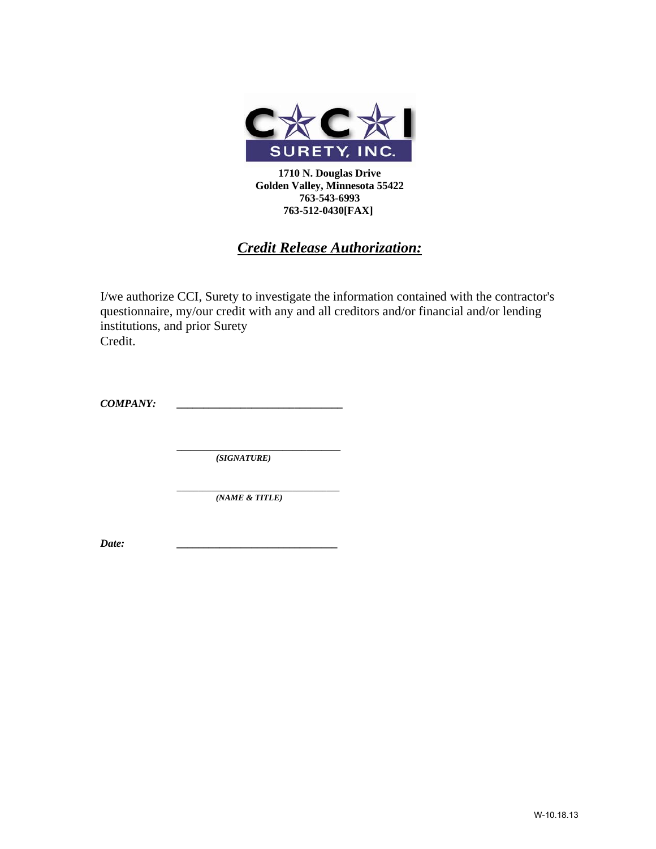

## *Credit Release Authorization:*

I/we authorize CCI, Surety to investigate the information contained with the contractor's questionnaire, my/our credit with any and all creditors and/or financial and/or lending institutions, and prior Surety Credit.

*COMPANY: \_\_\_\_\_\_\_\_\_\_\_\_\_\_\_\_\_\_\_\_\_\_\_\_\_\_\_\_\_\_\_* 

*\_\_\_\_\_\_\_\_\_\_\_\_\_\_\_\_\_\_\_\_\_\_\_\_\_\_\_\_\_\_\_\_\_\_ (SIGNATURE)* 

*\_\_\_\_\_\_\_\_\_\_\_\_\_\_\_\_\_\_\_\_\_\_\_\_\_\_\_\_\_\_\_\_\_\_\_\_\_\_ (NAME & TITLE)* 

*Date: \_\_\_\_\_\_\_\_\_\_\_\_\_\_\_\_\_\_\_\_\_\_\_\_\_\_\_\_\_\_*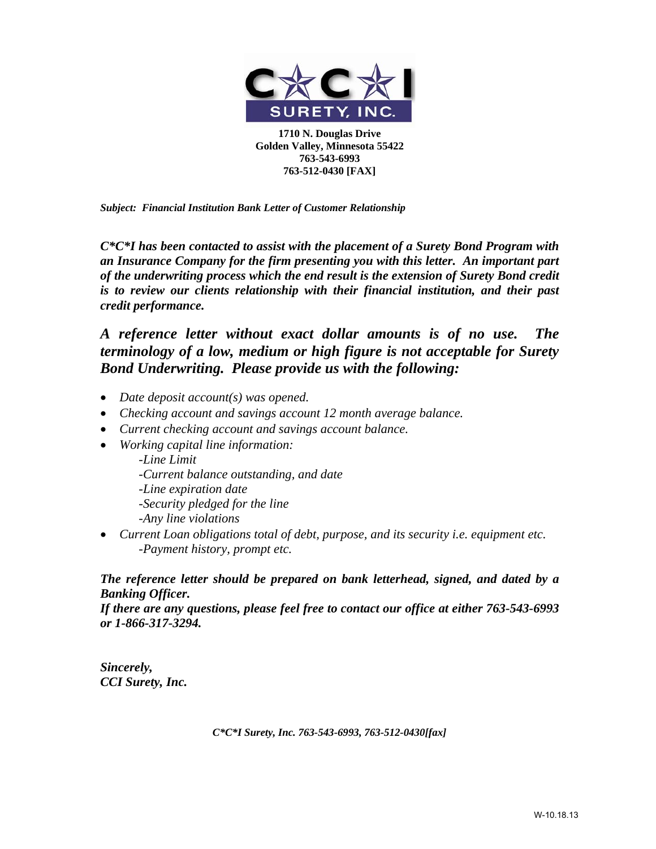

*Subject: Financial Institution Bank Letter of Customer Relationship* 

*C\*C\*I has been contacted to assist with the placement of a Surety Bond Program with an Insurance Company for the firm presenting you with this letter. An important part of the underwriting process which the end result is the extension of Surety Bond credit is to review our clients relationship with their financial institution, and their past credit performance.* 

## *A reference letter without exact dollar amounts is of no use. The terminology of a low, medium or high figure is not acceptable for Surety Bond Underwriting. Please provide us with the following:*

- *Date deposit account(s) was opened.*
- *Checking account and savings account 12 month average balance.*
- *Current checking account and savings account balance.*
- *Working capital line information:*

*-Line Limit -Current balance outstanding, and date -Line expiration date -Security pledged for the line -Any line violations* 

• *Current Loan obligations total of debt, purpose, and its security i.e. equipment etc. -Payment history, prompt etc.* 

### *The reference letter should be prepared on bank letterhead, signed, and dated by a Banking Officer.*

*If there are any questions, please feel free to contact our office at either 763-543-6993 or 1-866-317-3294.* 

*Sincerely, CCI Surety, Inc.* 

*C\*C\*I Surety, Inc. 763-543-6993, 763-512-0430[fax]*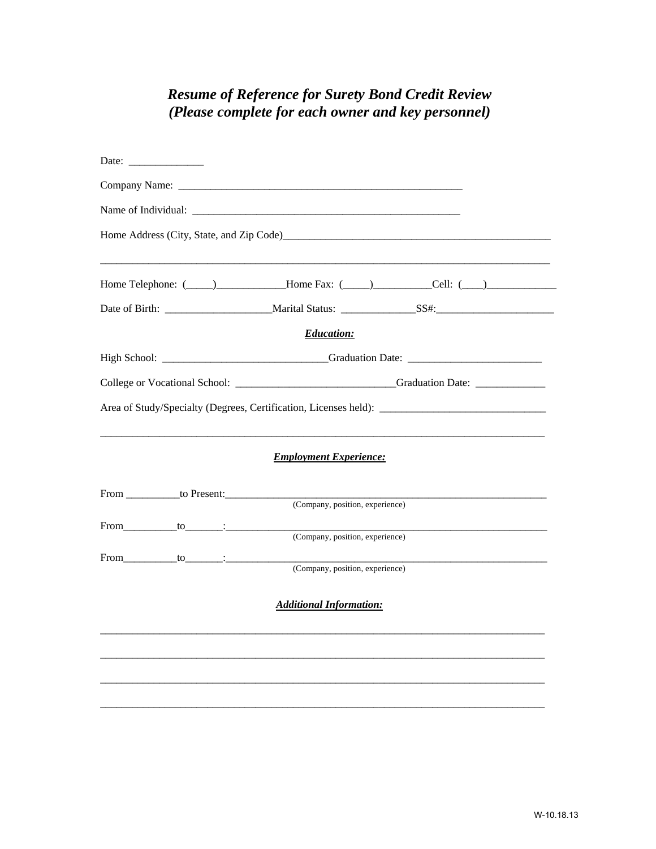## **Resume of Reference for Surety Bond Credit Review** (Please complete for each owner and key personnel)

|                           | Home Telephone: (Champion Collection 2014) [Cell: (Champion Collection 2014) [Cell: (Champion Collection 2014) |
|---------------------------|----------------------------------------------------------------------------------------------------------------|
|                           |                                                                                                                |
|                           | <b>Education:</b>                                                                                              |
|                           |                                                                                                                |
|                           | College or Vocational School: _________________________________Graduation Date: ____________________           |
|                           |                                                                                                                |
|                           | <b>Employment Experience:</b>                                                                                  |
|                           |                                                                                                                |
|                           | (Company, position, experience)                                                                                |
| $From \_\_to \_\_to \_\_$ | (Company, position, experience)                                                                                |
| From to :                 | (Company, position, experience)                                                                                |
|                           | <b>Additional Information:</b>                                                                                 |
|                           |                                                                                                                |
|                           |                                                                                                                |
|                           |                                                                                                                |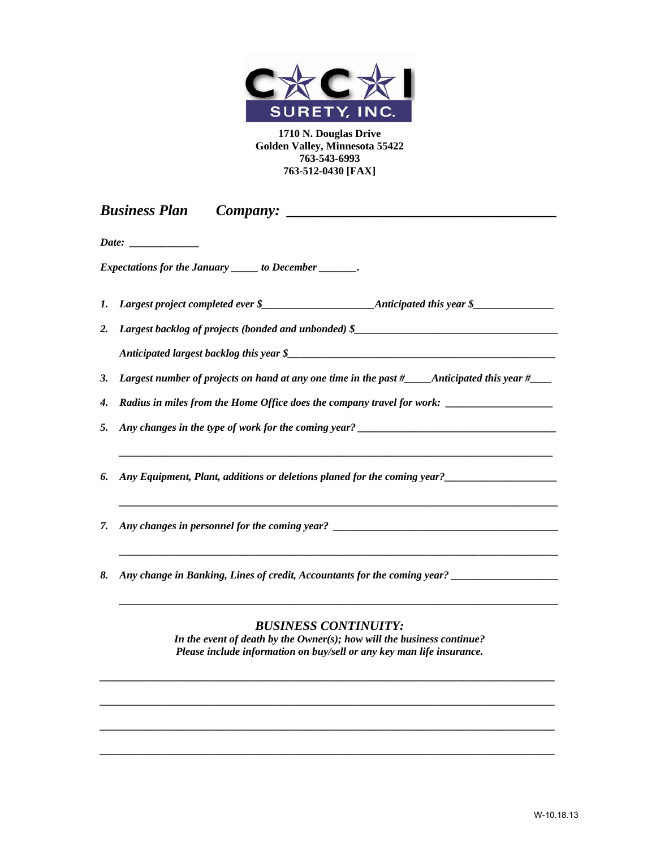

|    | <b>Business Plan</b>                                                                                                                            |
|----|-------------------------------------------------------------------------------------------------------------------------------------------------|
|    | Date:                                                                                                                                           |
|    | Expectations for the January ______ to December _______.                                                                                        |
| 1. |                                                                                                                                                 |
| 2. | Largest backlog of projects (bonded and unbonded) \$______________________________                                                              |
|    |                                                                                                                                                 |
| 3. | Largest number of projects on hand at any one time in the past $#$ Anticipated this year $#$                                                    |
| 4. |                                                                                                                                                 |
| 5. |                                                                                                                                                 |
| 6. | Any Equipment, Plant, additions or deletions planed for the coming year?                                                                        |
| 7. |                                                                                                                                                 |
| 8. | Any change in Banking, Lines of credit, Accountants for the coming year? ___________________________                                            |
|    | <b>BUSINESS CONTINUITY:</b>                                                                                                                     |
|    | In the event of death by the Owner(s); how will the business continue?<br>Please include information on buy/sell or any key man life insurance. |
|    |                                                                                                                                                 |
|    |                                                                                                                                                 |
|    |                                                                                                                                                 |

*\_\_\_\_\_\_\_\_\_\_\_\_\_\_\_\_\_\_\_\_\_\_\_\_\_\_\_\_\_\_\_\_\_\_\_\_\_\_\_\_\_\_\_\_\_\_\_\_\_\_\_\_\_\_\_\_\_\_\_\_\_\_\_\_\_\_\_\_\_\_\_\_\_\_\_\_\_\_\_\_\_\_\_\_\_*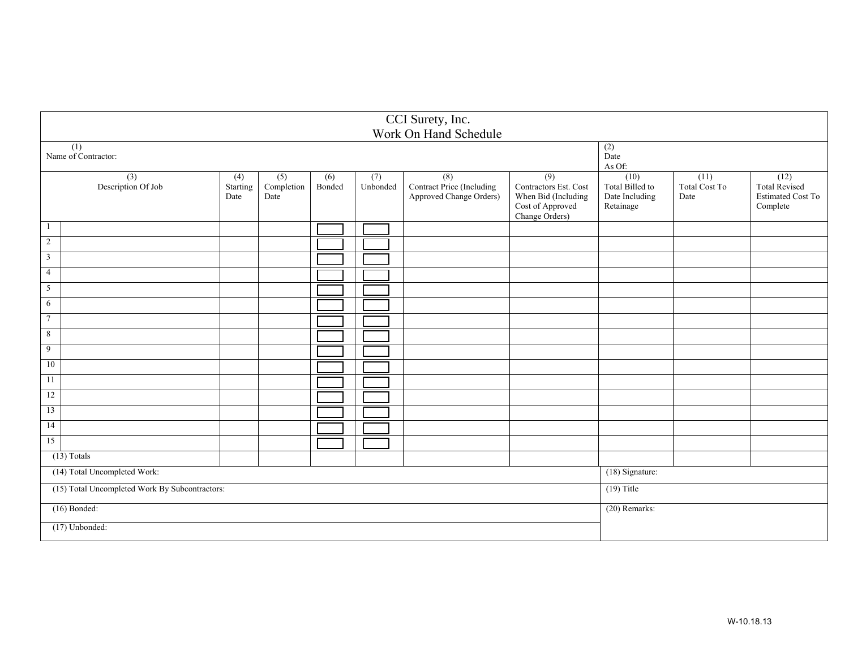|                                                |                                         |                         |                           |                            |                 | CCI Surety, Inc.<br>Work On Hand Schedule                   |                                                                                           |                                                        |                               |                                                                      |
|------------------------------------------------|-----------------------------------------|-------------------------|---------------------------|----------------------------|-----------------|-------------------------------------------------------------|-------------------------------------------------------------------------------------------|--------------------------------------------------------|-------------------------------|----------------------------------------------------------------------|
|                                                | $\overline{(1)}$<br>Name of Contractor: |                         |                           |                            |                 |                                                             |                                                                                           | $\overline{(2)}$<br>Date<br>As Of:                     |                               |                                                                      |
|                                                | (3)<br>Description Of Job               | (4)<br>Starting<br>Date | (5)<br>Completion<br>Date | $\overline{(6)}$<br>Bonded | (7)<br>Unbonded | (8)<br>Contract Price (Including<br>Approved Change Orders) | (9)<br>Contractors Est. Cost<br>When Bid (Including<br>Cost of Approved<br>Change Orders) | (10)<br>Total Billed to<br>Date Including<br>Retainage | (11)<br>Total Cost To<br>Date | (12)<br><b>Total Revised</b><br><b>Estimated Cost To</b><br>Complete |
| -1                                             |                                         |                         |                           |                            |                 |                                                             |                                                                                           |                                                        |                               |                                                                      |
| 2                                              |                                         |                         |                           |                            |                 |                                                             |                                                                                           |                                                        |                               |                                                                      |
| $\overline{3}$                                 |                                         |                         |                           |                            |                 |                                                             |                                                                                           |                                                        |                               |                                                                      |
| $\overline{4}$                                 |                                         |                         |                           |                            |                 |                                                             |                                                                                           |                                                        |                               |                                                                      |
| $5\overline{)}$                                |                                         |                         |                           |                            |                 |                                                             |                                                                                           |                                                        |                               |                                                                      |
| 6                                              |                                         |                         |                           |                            |                 |                                                             |                                                                                           |                                                        |                               |                                                                      |
| $7\phantom{.0}$                                |                                         |                         |                           |                            |                 |                                                             |                                                                                           |                                                        |                               |                                                                      |
| 8                                              |                                         |                         |                           |                            |                 |                                                             |                                                                                           |                                                        |                               |                                                                      |
| 9                                              |                                         |                         |                           |                            |                 |                                                             |                                                                                           |                                                        |                               |                                                                      |
| 10                                             |                                         |                         |                           |                            |                 |                                                             |                                                                                           |                                                        |                               |                                                                      |
| 11                                             |                                         |                         |                           |                            |                 |                                                             |                                                                                           |                                                        |                               |                                                                      |
| 12                                             |                                         |                         |                           |                            |                 |                                                             |                                                                                           |                                                        |                               |                                                                      |
| 13                                             |                                         |                         |                           |                            |                 |                                                             |                                                                                           |                                                        |                               |                                                                      |
| 14                                             |                                         |                         |                           |                            |                 |                                                             |                                                                                           |                                                        |                               |                                                                      |
| 15                                             |                                         |                         |                           |                            |                 |                                                             |                                                                                           |                                                        |                               |                                                                      |
|                                                | $(13)$ Totals                           |                         |                           |                            |                 |                                                             |                                                                                           |                                                        |                               |                                                                      |
| (14) Total Uncompleted Work:                   |                                         |                         |                           |                            |                 |                                                             | (18) Signature:                                                                           |                                                        |                               |                                                                      |
| (15) Total Uncompleted Work By Subcontractors: |                                         |                         |                           |                            |                 |                                                             | $(19)$ Title                                                                              |                                                        |                               |                                                                      |
| $(16)$ Bonded:                                 |                                         |                         |                           |                            |                 | (20) Remarks:                                               |                                                                                           |                                                        |                               |                                                                      |
|                                                | $(17)$ Unbonded:                        |                         |                           |                            |                 |                                                             |                                                                                           |                                                        |                               |                                                                      |